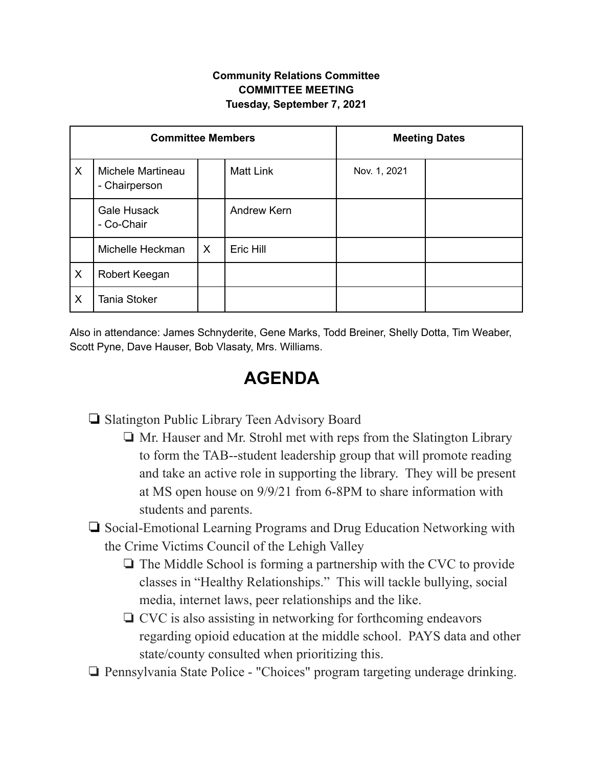## **Community Relations Committee COMMITTEE MEETING Tuesday, September 7, 2021**

| <b>Committee Members</b> |                                    |         |                  | <b>Meeting Dates</b> |  |
|--------------------------|------------------------------------|---------|------------------|----------------------|--|
| X                        | Michele Martineau<br>- Chairperson |         | <b>Matt Link</b> | Nov. 1, 2021         |  |
|                          | Gale Husack<br>- Co-Chair          |         | Andrew Kern      |                      |  |
|                          | Michelle Heckman                   | $\sf X$ | Eric Hill        |                      |  |
| X                        | Robert Keegan                      |         |                  |                      |  |
| X                        | <b>Tania Stoker</b>                |         |                  |                      |  |

Also in attendance: James Schnyderite, Gene Marks, Todd Breiner, Shelly Dotta, Tim Weaber, Scott Pyne, Dave Hauser, Bob Vlasaty, Mrs. Williams.

## **AGENDA**

❏ Slatington Public Library Teen Advisory Board

❏ Mr. Hauser and Mr. Strohl met with reps from the Slatington Library to form the TAB--student leadership group that will promote reading and take an active role in supporting the library. They will be present at MS open house on 9/9/21 from 6-8PM to share information with students and parents.

## ❏ Social-Emotional Learning Programs and Drug Education Networking with the Crime Victims Council of the Lehigh Valley

- ❏ The Middle School is forming a partnership with the CVC to provide classes in "Healthy Relationships." This will tackle bullying, social media, internet laws, peer relationships and the like.
- ❏ CVC is also assisting in networking for forthcoming endeavors regarding opioid education at the middle school. PAYS data and other state/county consulted when prioritizing this.
- ❏ Pennsylvania State Police "Choices" program targeting underage drinking.